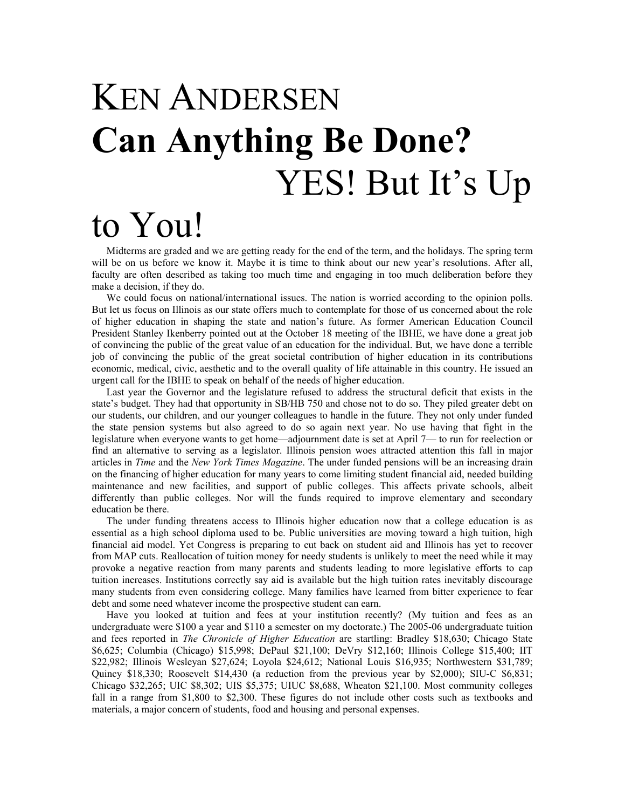## KEN ANDERSEN **Can Anything Be Done?**  YES! But It's Up to You!

Midterms are graded and we are getting ready for the end of the term, and the holidays. The spring term will be on us before we know it. Maybe it is time to think about our new year's resolutions. After all, faculty are often described as taking too much time and engaging in too much deliberation before they make a decision, if they do.

We could focus on national/international issues. The nation is worried according to the opinion polls. But let us focus on Illinois as our state offers much to contemplate for those of us concerned about the role of higher education in shaping the state and nation's future. As former American Education Council President Stanley Ikenberry pointed out at the October 18 meeting of the IBHE, we have done a great job of convincing the public of the great value of an education for the individual. But, we have done a terrible job of convincing the public of the great societal contribution of higher education in its contributions economic, medical, civic, aesthetic and to the overall quality of life attainable in this country. He issued an urgent call for the IBHE to speak on behalf of the needs of higher education.

Last year the Governor and the legislature refused to address the structural deficit that exists in the state's budget. They had that opportunity in SB/HB 750 and chose not to do so. They piled greater debt on our students, our children, and our younger colleagues to handle in the future. They not only under funded the state pension systems but also agreed to do so again next year. No use having that fight in the legislature when everyone wants to get home—adjournment date is set at April 7— to run for reelection or find an alternative to serving as a legislator. Illinois pension woes attracted attention this fall in major articles in *Time* and the *New York Times Magazine*. The under funded pensions will be an increasing drain on the financing of higher education for many years to come limiting student financial aid, needed building maintenance and new facilities, and support of public colleges. This affects private schools, albeit differently than public colleges. Nor will the funds required to improve elementary and secondary education be there.

The under funding threatens access to Illinois higher education now that a college education is as essential as a high school diploma used to be. Public universities are moving toward a high tuition, high financial aid model. Yet Congress is preparing to cut back on student aid and Illinois has yet to recover from MAP cuts. Reallocation of tuition money for needy students is unlikely to meet the need while it may provoke a negative reaction from many parents and students leading to more legislative efforts to cap tuition increases. Institutions correctly say aid is available but the high tuition rates inevitably discourage many students from even considering college. Many families have learned from bitter experience to fear debt and some need whatever income the prospective student can earn.

Have you looked at tuition and fees at your institution recently? (My tuition and fees as an undergraduate were \$100 a year and \$110 a semester on my doctorate.) The 2005-06 undergraduate tuition and fees reported in *The Chronicle of Higher Education* are startling: Bradley \$18,630; Chicago State \$6,625; Columbia (Chicago) \$15,998; DePaul \$21,100; DeVry \$12,160; Illinois College \$15,400; IIT \$22,982; Illinois Wesleyan \$27,624; Loyola \$24,612; National Louis \$16,935; Northwestern \$31,789; Quincy \$18,330; Roosevelt \$14,430 (a reduction from the previous year by \$2,000); SIU-C \$6,831; Chicago \$32,265; UIC \$8,302; UIS \$5,375; UIUC \$8,688, Wheaton \$21,100. Most community colleges fall in a range from \$1,800 to \$2,300. These figures do not include other costs such as textbooks and materials, a major concern of students, food and housing and personal expenses.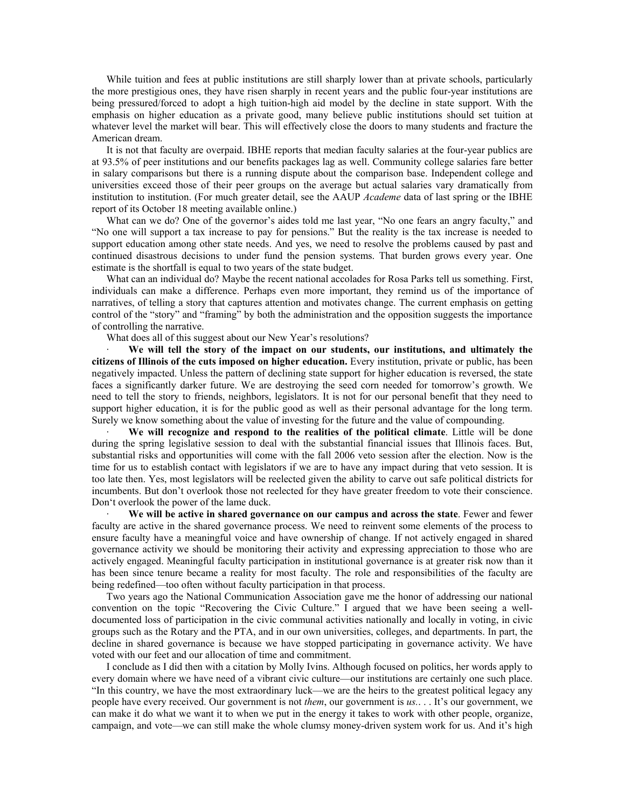While tuition and fees at public institutions are still sharply lower than at private schools, particularly the more prestigious ones, they have risen sharply in recent years and the public four-year institutions are being pressured/forced to adopt a high tuition-high aid model by the decline in state support. With the emphasis on higher education as a private good, many believe public institutions should set tuition at whatever level the market will bear. This will effectively close the doors to many students and fracture the American dream.

It is not that faculty are overpaid. IBHE reports that median faculty salaries at the four-year publics are at 93.5% of peer institutions and our benefits packages lag as well. Community college salaries fare better in salary comparisons but there is a running dispute about the comparison base. Independent college and universities exceed those of their peer groups on the average but actual salaries vary dramatically from institution to institution. (For much greater detail, see the AAUP *Academe* data of last spring or the IBHE report of its October 18 meeting available online.)

What can we do? One of the governor's aides told me last year, "No one fears an angry faculty," and "No one will support a tax increase to pay for pensions." But the reality is the tax increase is needed to support education among other state needs. And yes, we need to resolve the problems caused by past and continued disastrous decisions to under fund the pension systems. That burden grows every year. One estimate is the shortfall is equal to two years of the state budget.

What can an individual do? Maybe the recent national accolades for Rosa Parks tell us something. First, individuals can make a difference. Perhaps even more important, they remind us of the importance of narratives, of telling a story that captures attention and motivates change. The current emphasis on getting control of the "story" and "framing" by both the administration and the opposition suggests the importance of controlling the narrative.

What does all of this suggest about our New Year's resolutions?

· **We will tell the story of the impact on our students, our institutions, and ultimately the citizens of Illinois of the cuts imposed on higher education.** Every institution, private or public, has been negatively impacted. Unless the pattern of declining state support for higher education is reversed, the state faces a significantly darker future. We are destroying the seed corn needed for tomorrow's growth. We need to tell the story to friends, neighbors, legislators. It is not for our personal benefit that they need to support higher education, it is for the public good as well as their personal advantage for the long term. Surely we know something about the value of investing for the future and the value of compounding.

· **We will recognize and respond to the realities of the political climate**. Little will be done during the spring legislative session to deal with the substantial financial issues that Illinois faces. But, substantial risks and opportunities will come with the fall 2006 veto session after the election. Now is the time for us to establish contact with legislators if we are to have any impact during that veto session. It is too late then. Yes, most legislators will be reelected given the ability to carve out safe political districts for incumbents. But don't overlook those not reelected for they have greater freedom to vote their conscience. Don't overlook the power of the lame duck.

· **We will be active in shared governance on our campus and across the state**. Fewer and fewer faculty are active in the shared governance process. We need to reinvent some elements of the process to ensure faculty have a meaningful voice and have ownership of change. If not actively engaged in shared governance activity we should be monitoring their activity and expressing appreciation to those who are actively engaged. Meaningful faculty participation in institutional governance is at greater risk now than it has been since tenure became a reality for most faculty. The role and responsibilities of the faculty are being redefined—too often without faculty participation in that process.

Two years ago the National Communication Association gave me the honor of addressing our national convention on the topic "Recovering the Civic Culture." I argued that we have been seeing a welldocumented loss of participation in the civic communal activities nationally and locally in voting, in civic groups such as the Rotary and the PTA, and in our own universities, colleges, and departments. In part, the decline in shared governance is because we have stopped participating in governance activity. We have voted with our feet and our allocation of time and commitment.

I conclude as I did then with a citation by Molly Ivins. Although focused on politics, her words apply to every domain where we have need of a vibrant civic culture—our institutions are certainly one such place. "In this country, we have the most extraordinary luck—we are the heirs to the greatest political legacy any people have every received. Our government is not *them*, our government is *us.*. . . It's our government, we can make it do what we want it to when we put in the energy it takes to work with other people, organize, campaign, and vote—we can still make the whole clumsy money-driven system work for us. And it's high